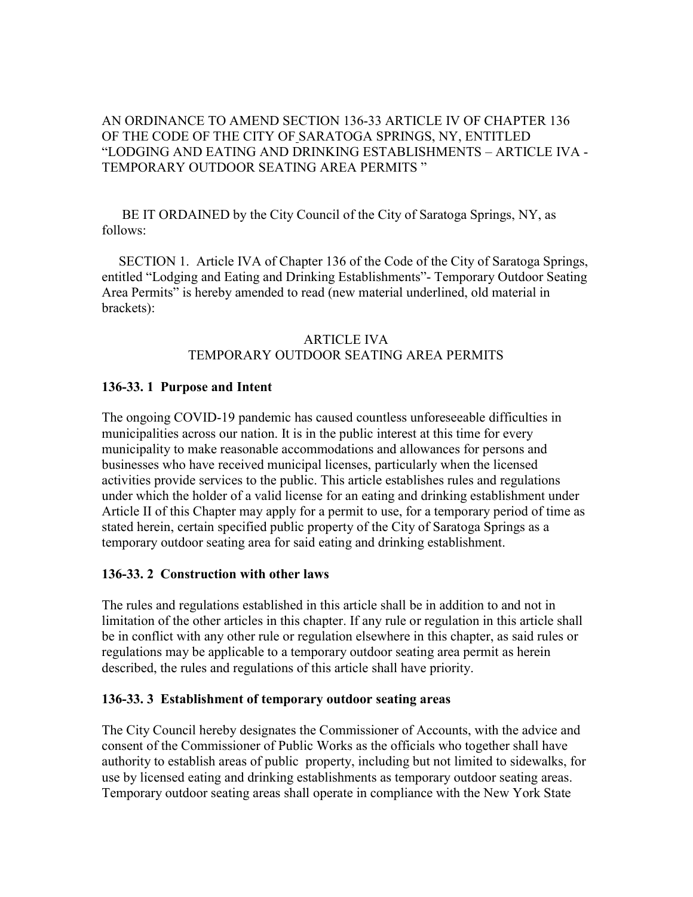## AN ORDINANCE TO AMEND SECTION 136-33 ARTICLE IV OF CHAPTER 136 OF THE CODE OF THE CITY OF SARATOGA SPRINGS, NY, ENTITLED "LODGING AND EATING AND DRINKING ESTABLISHMENTS – ARTICLE IVA - TEMPORARY OUTDOOR SEATING AREA PERMITS"

 BE IT ORDAINED by the City Council of the City of Saratoga Springs, NY, as follows:

 SECTION 1. Article IVA of Chapter 136 of the Code of the City of Saratoga Springs, entitled "Lodging and Eating and Drinking Establishments"- Temporary Outdoor Seating Area Permits" is hereby amended to read (new material underlined, old material in brackets):

#### ARTICLE IVA TEMPORARY OUTDOOR SEATING AREA PERMITS

### 136-33. 1 Purpose and Intent

The ongoing COVID-19 pandemic has caused countless unforeseeable difficulties in municipalities across our nation. It is in the public interest at this time for every municipality to make reasonable accommodations and allowances for persons and businesses who have received municipal licenses, particularly when the licensed activities provide services to the public. This article establishes rules and regulations under which the holder of a valid license for an eating and drinking establishment under Article II of this Chapter may apply for a permit to use, for a temporary period of time as stated herein, certain specified public property of the City of Saratoga Springs as a temporary outdoor seating area for said eating and drinking establishment.

#### 136-33. 2 Construction with other laws

The rules and regulations established in this article shall be in addition to and not in limitation of the other articles in this chapter. If any rule or regulation in this article shall be in conflict with any other rule or regulation elsewhere in this chapter, as said rules or regulations may be applicable to a temporary outdoor seating area permit as herein described, the rules and regulations of this article shall have priority.

#### 136-33. 3 Establishment of temporary outdoor seating areas

The City Council hereby designates the Commissioner of Accounts, with the advice and consent of the Commissioner of Public Works as the officials who together shall have authority to establish areas of public property, including but not limited to sidewalks, for use by licensed eating and drinking establishments as temporary outdoor seating areas. Temporary outdoor seating areas shall operate in compliance with the New York State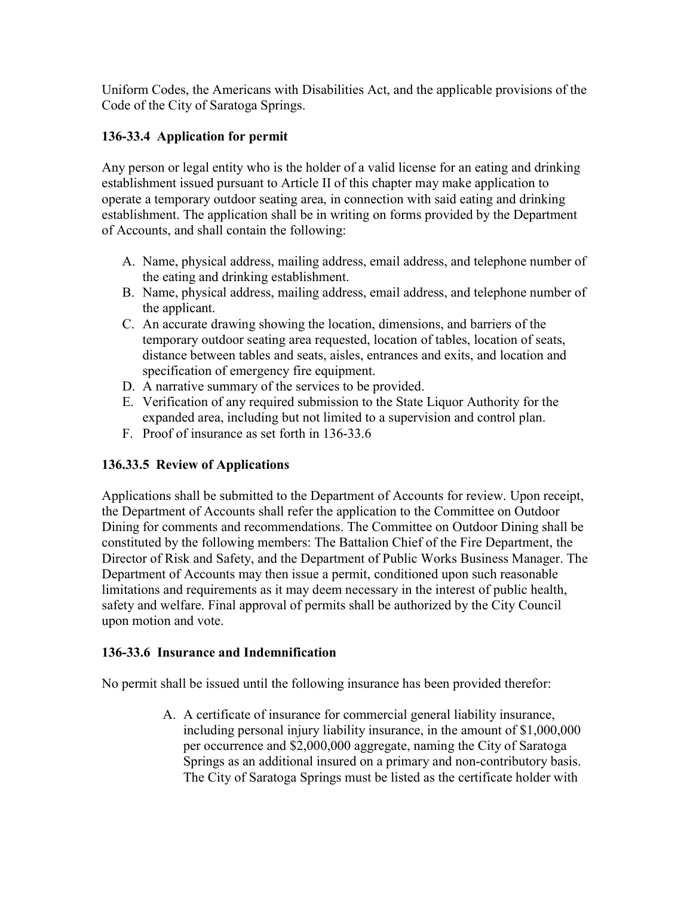Uniform Codes, the Americans with Disabilities Act, and the applicable provisions of the Code of the City of Saratoga Springs.

## 136-33.4 Application for permit

Any person or legal entity who is the holder of a valid license for an eating and drinking establishment issued pursuant to Article II of this chapter may make application to operate a temporary outdoor seating area, in connection with said eating and drinking establishment. The application shall be in writing on forms provided by the Department of Accounts, and shall contain the following:

- A. Name, physical address, mailing address, email address, and telephone number of the eating and drinking establishment.
- B. Name, physical address, mailing address, email address, and telephone number of the applicant.
- C. An accurate drawing showing the location, dimensions, and barriers of the temporary outdoor seating area requested, location of tables, location of seats, distance between tables and seats, aisles, entrances and exits, and location and specification of emergency fire equipment.
- D. A narrative summary of the services to be provided.
- E. Verification of any required submission to the State Liquor Authority for the expanded area, including but not limited to a supervision and control plan.
- F. Proof of insurance as set forth in 136-33.6

# 136.33.5 Review of Applications

Applications shall be submitted to the Department of Accounts for review. Upon receipt, the Department of Accounts shall refer the application to the Committee on Outdoor Dining for comments and recommendations. The Committee on Outdoor Dining shall be constituted by the following members: The Battalion Chief of the Fire Department, the Director of Risk and Safety, and the Department of Public Works Business Manager. The Department of Accounts may then issue a permit, conditioned upon such reasonable limitations and requirements as it may deem necessary in the interest of public health, safety and welfare. Final approval of permits shall be authorized by the City Council upon motion and vote.

## 136-33.6 Insurance and Indemnification

No permit shall be issued until the following insurance has been provided therefor:

A. A certificate of insurance for commercial general liability insurance, including personal injury liability insurance, in the amount of \$1,000,000 per occurrence and \$2,000,000 aggregate, naming the City of Saratoga Springs as an additional insured on a primary and non-contributory basis. The City of Saratoga Springs must be listed as the certificate holder with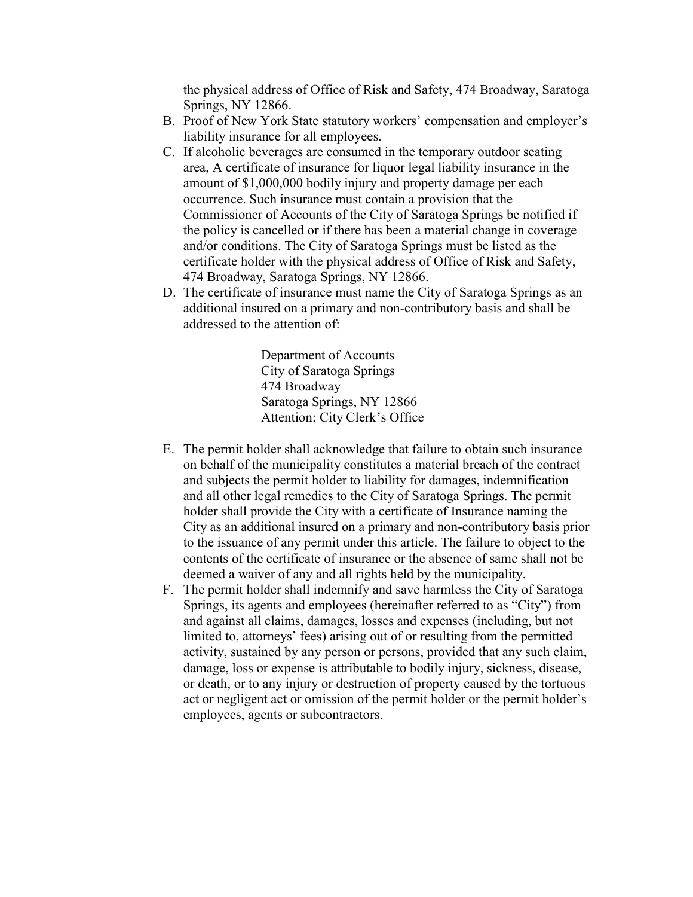the physical address of Office of Risk and Safety, 474 Broadway, Saratoga Springs, NY 12866.

- B. Proof of New York State statutory workers' compensation and employer's liability insurance for all employees.
- C. If alcoholic beverages are consumed in the temporary outdoor seating area, A certificate of insurance for liquor legal liability insurance in the amount of \$1,000,000 bodily injury and property damage per each occurrence. Such insurance must contain a provision that the Commissioner of Accounts of the City of Saratoga Springs be notified if the policy is cancelled or if there has been a material change in coverage and/or conditions. The City of Saratoga Springs must be listed as the certificate holder with the physical address of Office of Risk and Safety, 474 Broadway, Saratoga Springs, NY 12866.
- D. The certificate of insurance must name the City of Saratoga Springs as an additional insured on a primary and non-contributory basis and shall be addressed to the attention of:

 Department of Accounts City of Saratoga Springs 474 Broadway Saratoga Springs, NY 12866 Attention: City Clerk's Office

- E. The permit holder shall acknowledge that failure to obtain such insurance on behalf of the municipality constitutes a material breach of the contract and subjects the permit holder to liability for damages, indemnification and all other legal remedies to the City of Saratoga Springs. The permit holder shall provide the City with a certificate of Insurance naming the City as an additional insured on a primary and non-contributory basis prior to the issuance of any permit under this article. The failure to object to the contents of the certificate of insurance or the absence of same shall not be deemed a waiver of any and all rights held by the municipality.
- F. The permit holder shall indemnify and save harmless the City of Saratoga Springs, its agents and employees (hereinafter referred to as "City") from and against all claims, damages, losses and expenses (including, but not limited to, attorneys' fees) arising out of or resulting from the permitted activity, sustained by any person or persons, provided that any such claim, damage, loss or expense is attributable to bodily injury, sickness, disease, or death, or to any injury or destruction of property caused by the tortuous act or negligent act or omission of the permit holder or the permit holder's employees, agents or subcontractors.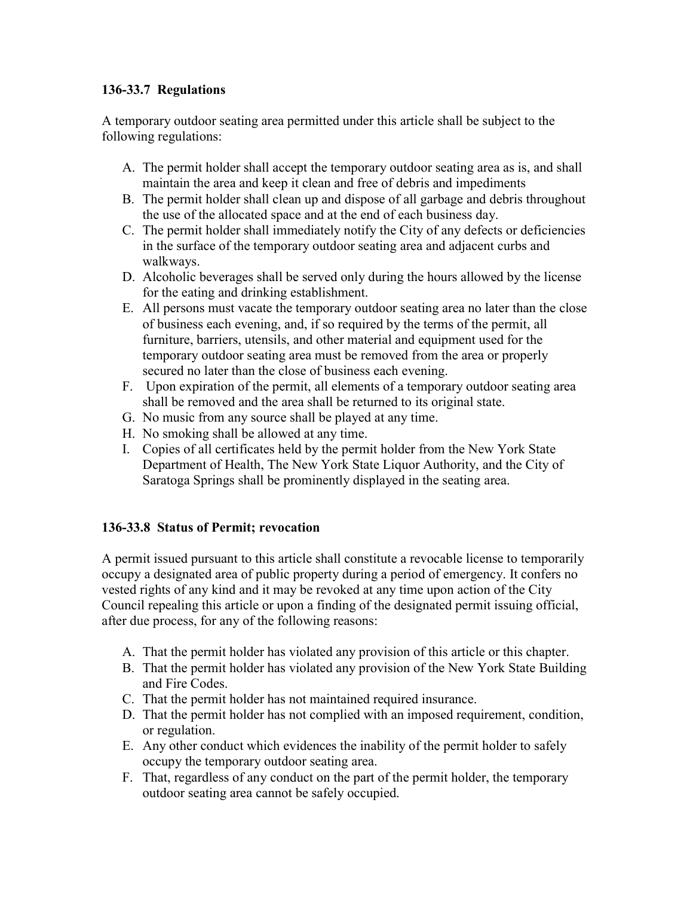## 136-33.7 Regulations

A temporary outdoor seating area permitted under this article shall be subject to the following regulations:

- A. The permit holder shall accept the temporary outdoor seating area as is, and shall maintain the area and keep it clean and free of debris and impediments
- B. The permit holder shall clean up and dispose of all garbage and debris throughout the use of the allocated space and at the end of each business day.
- C. The permit holder shall immediately notify the City of any defects or deficiencies in the surface of the temporary outdoor seating area and adjacent curbs and walkways.
- D. Alcoholic beverages shall be served only during the hours allowed by the license for the eating and drinking establishment.
- E. All persons must vacate the temporary outdoor seating area no later than the close of business each evening, and, if so required by the terms of the permit, all furniture, barriers, utensils, and other material and equipment used for the temporary outdoor seating area must be removed from the area or properly secured no later than the close of business each evening.
- F. Upon expiration of the permit, all elements of a temporary outdoor seating area shall be removed and the area shall be returned to its original state.
- G. No music from any source shall be played at any time.
- H. No smoking shall be allowed at any time.
- I. Copies of all certificates held by the permit holder from the New York State Department of Health, The New York State Liquor Authority, and the City of Saratoga Springs shall be prominently displayed in the seating area.

# 136-33.8 Status of Permit; revocation

A permit issued pursuant to this article shall constitute a revocable license to temporarily occupy a designated area of public property during a period of emergency. It confers no vested rights of any kind and it may be revoked at any time upon action of the City Council repealing this article or upon a finding of the designated permit issuing official, after due process, for any of the following reasons:

- A. That the permit holder has violated any provision of this article or this chapter.
- B. That the permit holder has violated any provision of the New York State Building and Fire Codes.
- C. That the permit holder has not maintained required insurance.
- D. That the permit holder has not complied with an imposed requirement, condition, or regulation.
- E. Any other conduct which evidences the inability of the permit holder to safely occupy the temporary outdoor seating area.
- F. That, regardless of any conduct on the part of the permit holder, the temporary outdoor seating area cannot be safely occupied.